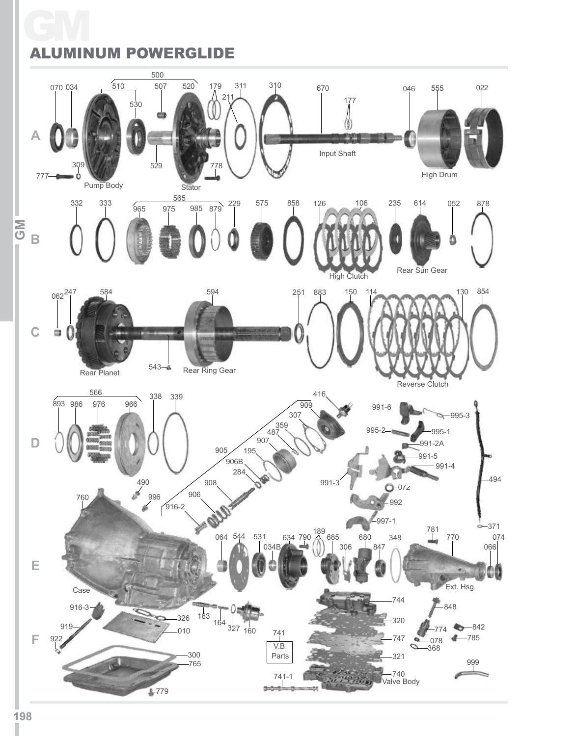#### GM ALUMINUM POWERGLIDE

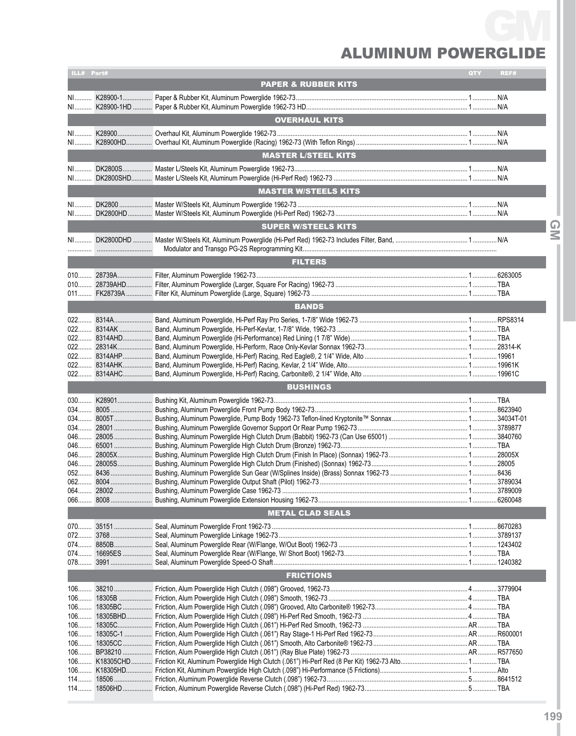## ALUMINUM PO GM

| ILL# Part#     |                                | QTY | REF#   |
|----------------|--------------------------------|-----|--------|
|                | <b>PAPER &amp; RUBBER KITS</b> |     |        |
|                |                                |     |        |
|                |                                |     |        |
|                | <b>OVERHAUL KITS</b>           |     |        |
|                |                                |     |        |
|                |                                |     |        |
|                | <b>MASTER L/STEEL KITS</b>     |     |        |
|                |                                |     |        |
|                |                                |     |        |
|                | <b>MASTER W/STEELS KITS</b>    |     |        |
|                |                                |     |        |
|                |                                |     |        |
|                | <b>SUPER W/STEELS KITS</b>     |     |        |
|                |                                |     | $\leq$ |
|                |                                |     |        |
|                | <b>FILTERS</b>                 |     |        |
|                |                                |     |        |
|                |                                |     |        |
|                |                                |     |        |
|                | <b>BANDS</b>                   |     |        |
|                |                                |     |        |
|                |                                |     |        |
|                |                                |     |        |
|                |                                |     |        |
|                |                                |     |        |
|                |                                |     |        |
|                |                                |     |        |
|                | <b>BUSHINGS</b>                |     |        |
|                |                                |     |        |
|                |                                |     |        |
|                |                                |     |        |
|                |                                |     |        |
|                |                                |     |        |
|                |                                |     |        |
|                |                                |     |        |
|                |                                |     |        |
|                |                                |     |        |
|                |                                |     |        |
|                |                                |     |        |
|                | <b>METAL CLAD SEALS</b>        |     |        |
|                |                                |     |        |
|                |                                |     |        |
|                |                                |     |        |
|                |                                |     |        |
|                |                                |     |        |
|                | <b>FRICTIONS</b>               |     |        |
|                |                                |     |        |
|                |                                |     |        |
| $106$          |                                |     |        |
| $106$          |                                |     |        |
| $106$          |                                |     |        |
| $106$          |                                |     |        |
| $106$<br>$106$ |                                |     |        |
|                |                                |     |        |
|                |                                |     |        |
|                |                                |     |        |
|                |                                |     |        |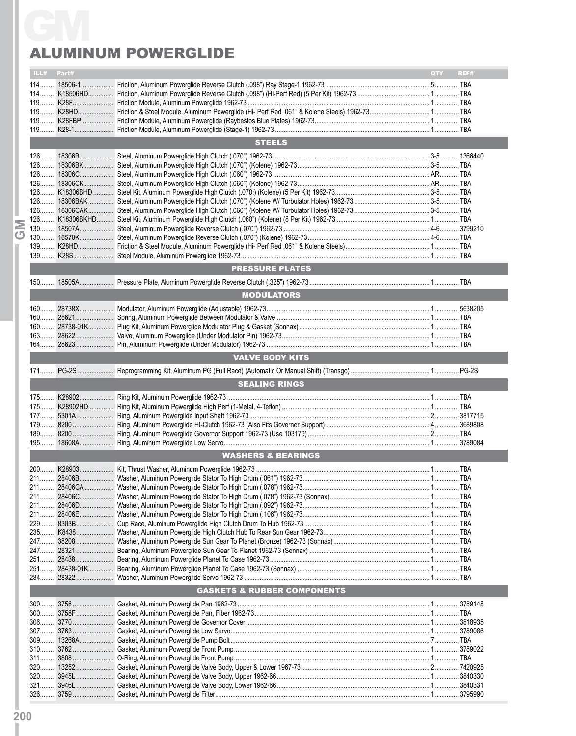# Aluminum Powerglide

|               | ILL# Part# |                                        | QTY | REF# |  |  |
|---------------|------------|----------------------------------------|-----|------|--|--|
|               |            |                                        |     |      |  |  |
|               |            |                                        |     |      |  |  |
|               |            |                                        |     |      |  |  |
|               |            |                                        |     |      |  |  |
|               |            |                                        |     |      |  |  |
|               |            |                                        |     |      |  |  |
| <b>STEELS</b> |            |                                        |     |      |  |  |
|               |            |                                        |     |      |  |  |
|               |            |                                        |     |      |  |  |
|               |            |                                        |     |      |  |  |
|               |            |                                        |     |      |  |  |
|               |            |                                        |     |      |  |  |
|               |            |                                        |     |      |  |  |
|               |            |                                        |     |      |  |  |
|               |            |                                        |     |      |  |  |
|               |            |                                        |     |      |  |  |
|               |            |                                        |     |      |  |  |
|               |            |                                        |     |      |  |  |
|               |            |                                        |     |      |  |  |
|               |            | <b>PRESSURE PLATES</b>                 |     |      |  |  |
|               |            |                                        |     |      |  |  |
|               |            | <b>MODULATORS</b>                      |     |      |  |  |
|               |            |                                        |     |      |  |  |
|               |            |                                        |     |      |  |  |
|               |            |                                        |     |      |  |  |
|               |            |                                        |     |      |  |  |
|               |            |                                        |     |      |  |  |
|               |            | <b>VALVE BODY KITS</b>                 |     |      |  |  |
|               |            |                                        |     |      |  |  |
|               |            | <b>SEALING RINGS</b>                   |     |      |  |  |
|               |            |                                        |     |      |  |  |
|               |            |                                        |     |      |  |  |
|               |            |                                        |     |      |  |  |
|               |            |                                        |     |      |  |  |
|               |            |                                        |     |      |  |  |
|               |            |                                        |     |      |  |  |
|               |            | <b>WASHERS &amp; BEARINGS</b>          |     |      |  |  |
|               |            |                                        |     |      |  |  |
|               |            |                                        |     |      |  |  |
|               |            |                                        |     |      |  |  |
|               |            |                                        |     |      |  |  |
|               |            |                                        |     |      |  |  |
|               |            |                                        |     |      |  |  |
|               |            |                                        |     |      |  |  |
|               |            |                                        |     |      |  |  |
|               |            |                                        |     |      |  |  |
|               |            |                                        |     |      |  |  |
|               |            |                                        |     |      |  |  |
|               |            |                                        |     |      |  |  |
|               |            |                                        |     |      |  |  |
|               |            | <b>GASKETS &amp; RUBBER COMPONENTS</b> |     |      |  |  |
|               |            |                                        |     |      |  |  |
|               |            |                                        |     |      |  |  |
|               |            |                                        |     |      |  |  |
|               |            |                                        |     |      |  |  |
|               |            |                                        |     |      |  |  |
|               |            |                                        |     |      |  |  |
|               |            |                                        |     |      |  |  |
|               |            |                                        |     |      |  |  |
|               |            |                                        |     |      |  |  |
|               |            |                                        |     |      |  |  |
|               |            |                                        |     |      |  |  |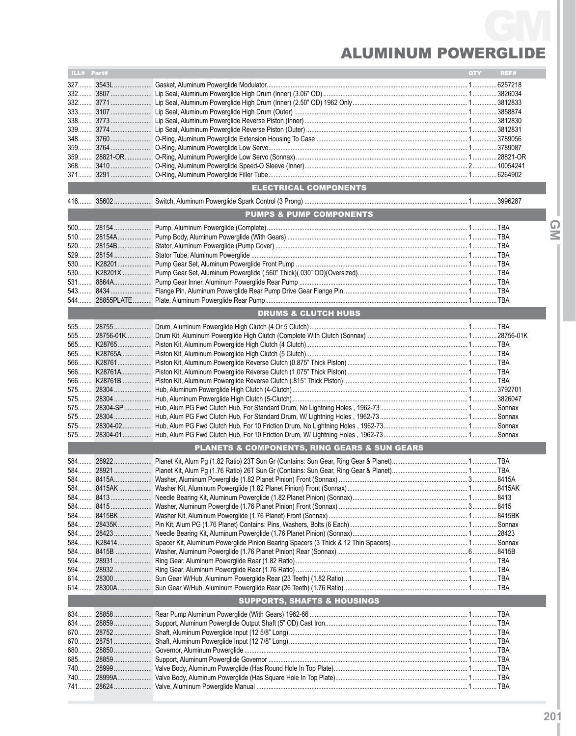## ALUMINUM PO GM

| ILL# Part# |       |                                              | QTY | REF# |
|------------|-------|----------------------------------------------|-----|------|
|            |       |                                              |     |      |
|            |       |                                              |     |      |
|            |       |                                              |     |      |
| 332        |       |                                              |     |      |
| 333        |       |                                              |     |      |
|            |       |                                              |     |      |
|            |       |                                              |     |      |
|            |       |                                              |     |      |
|            |       |                                              |     |      |
|            |       |                                              |     |      |
| 359        |       |                                              |     |      |
|            |       |                                              |     |      |
|            |       |                                              |     |      |
|            |       | ELECTRICAL COMPONENTS                        |     |      |
|            |       |                                              |     |      |
|            |       | <b>PUMPS &amp; PUMP COMPONENTS</b>           |     |      |
|            |       |                                              |     |      |
|            |       |                                              |     |      |
|            |       |                                              |     |      |
|            |       |                                              |     |      |
|            |       |                                              |     |      |
|            |       |                                              |     |      |
|            |       |                                              |     |      |
|            |       |                                              |     |      |
|            |       |                                              |     |      |
|            |       |                                              |     |      |
|            |       | <b>DRUMS &amp; CLUTCH HUBS</b>               |     |      |
|            |       |                                              |     |      |
|            |       |                                              |     |      |
|            |       |                                              |     |      |
|            |       |                                              |     |      |
|            |       |                                              |     |      |
|            |       |                                              |     |      |
|            |       |                                              |     |      |
|            |       |                                              |     |      |
|            |       |                                              |     |      |
|            |       |                                              |     |      |
|            |       |                                              |     |      |
| 575        |       |                                              |     |      |
|            |       |                                              |     |      |
|            |       |                                              |     |      |
|            |       |                                              |     |      |
|            |       |                                              |     |      |
|            |       | PLANETS & COMPONENTS, RING GEARS & SUN GEARS |     |      |
|            |       |                                              |     |      |
|            |       |                                              |     |      |
|            |       |                                              |     |      |
|            |       |                                              |     |      |
|            |       |                                              |     |      |
|            |       |                                              |     |      |
|            |       |                                              |     |      |
|            |       |                                              |     |      |
|            |       |                                              |     |      |
|            |       |                                              |     |      |
|            |       |                                              |     |      |
| 584        |       |                                              |     |      |
| 594        |       |                                              |     |      |
| 594        |       |                                              |     |      |
|            |       |                                              |     |      |
|            |       |                                              |     |      |
| 614        |       |                                              |     |      |
|            |       | <b>SUPPORTS, SHAFTS &amp; HOUSINGS</b>       |     |      |
| 634        |       |                                              |     |      |
|            |       |                                              |     |      |
|            |       |                                              |     |      |
| 670        |       |                                              |     |      |
|            |       |                                              |     |      |
| 680        |       |                                              |     |      |
| 685        | 28859 |                                              |     |      |
| 740        |       |                                              |     |      |
|            |       |                                              |     |      |
| 741        |       |                                              |     |      |
|            |       |                                              |     |      |

**IGMI**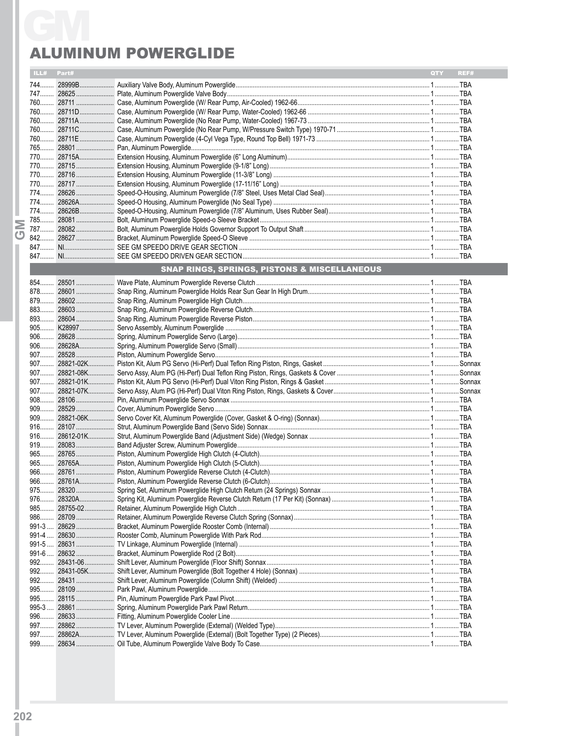|   | ILL# Part# |           |                                                         | QTY | REF# |
|---|------------|-----------|---------------------------------------------------------|-----|------|
|   |            |           |                                                         |     |      |
|   |            |           |                                                         |     |      |
|   |            |           |                                                         |     |      |
|   |            |           |                                                         |     |      |
|   |            |           |                                                         |     |      |
|   |            |           |                                                         |     |      |
|   |            |           |                                                         |     |      |
|   |            |           |                                                         |     |      |
|   |            |           |                                                         |     |      |
|   |            |           |                                                         |     |      |
|   |            |           |                                                         |     |      |
|   |            |           |                                                         |     |      |
|   |            |           |                                                         |     |      |
|   |            |           |                                                         |     |      |
|   |            |           |                                                         |     |      |
|   |            |           |                                                         |     |      |
| ஶ |            |           |                                                         |     |      |
|   |            |           |                                                         |     |      |
|   |            |           |                                                         |     |      |
|   |            |           |                                                         |     |      |
|   |            |           | <b>SNAP RINGS, SPRINGS, PISTONS &amp; MISCELLANEOUS</b> |     |      |
|   |            |           |                                                         |     |      |
|   |            |           |                                                         |     |      |
|   |            |           |                                                         |     |      |
|   |            |           |                                                         |     |      |
|   |            |           |                                                         |     |      |
|   |            |           |                                                         |     |      |
|   |            |           |                                                         |     |      |
|   |            |           |                                                         |     |      |
|   |            |           |                                                         |     |      |
|   |            |           |                                                         |     |      |
|   |            |           |                                                         |     |      |
|   |            |           |                                                         |     |      |
|   |            |           |                                                         |     |      |
|   |            |           |                                                         |     |      |
|   |            |           |                                                         |     |      |
|   |            |           |                                                         |     |      |
|   |            |           |                                                         |     |      |
|   |            |           |                                                         |     |      |
|   |            |           |                                                         |     |      |
|   |            |           |                                                         |     |      |
|   |            |           |                                                         |     |      |
|   |            |           |                                                         |     |      |
|   |            | 975 28320 |                                                         |     |      |
|   | 976        |           |                                                         |     |      |
|   |            |           |                                                         |     |      |
|   |            |           |                                                         |     |      |
|   |            |           |                                                         |     |      |
|   |            |           |                                                         |     |      |
|   |            |           |                                                         |     |      |
|   |            |           |                                                         |     |      |
|   | $992$      |           |                                                         |     |      |
|   | 992        |           |                                                         |     |      |
|   |            |           |                                                         |     |      |
|   |            |           |                                                         |     |      |
|   |            |           |                                                         |     |      |
|   |            |           |                                                         |     |      |
|   |            |           |                                                         |     |      |
|   |            |           |                                                         |     |      |
|   | 997        |           |                                                         |     |      |
|   | 999        |           |                                                         |     |      |